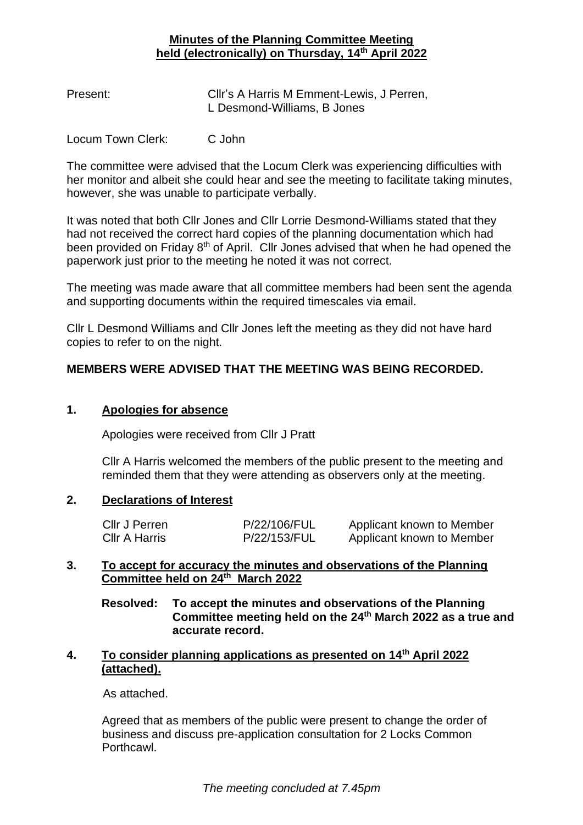## **Minutes of the Planning Committee Meeting held (electronically) on Thursday, 14th April 2022**

| Present: | Cllr's A Harris M Emment-Lewis, J Perren, |
|----------|-------------------------------------------|
|          | L Desmond-Williams, B Jones               |

Locum Town Clerk: C John

The committee were advised that the Locum Clerk was experiencing difficulties with her monitor and albeit she could hear and see the meeting to facilitate taking minutes, however, she was unable to participate verbally.

It was noted that both Cllr Jones and Cllr Lorrie Desmond-Williams stated that they had not received the correct hard copies of the planning documentation which had been provided on Friday 8<sup>th</sup> of April. Cllr Jones advised that when he had opened the paperwork just prior to the meeting he noted it was not correct.

The meeting was made aware that all committee members had been sent the agenda and supporting documents within the required timescales via email.

Cllr L Desmond Williams and Cllr Jones left the meeting as they did not have hard copies to refer to on the night.

# **MEMBERS WERE ADVISED THAT THE MEETING WAS BEING RECORDED.**

#### **1. Apologies for absence**

Apologies were received from Cllr J Pratt

Cllr A Harris welcomed the members of the public present to the meeting and reminded them that they were attending as observers only at the meeting.

#### **2. Declarations of Interest**

| Cllr J Perren | P/22/106/FUL | Applicant known to Member |
|---------------|--------------|---------------------------|
| Cllr A Harris | P/22/153/FUL | Applicant known to Member |

## **3. To accept for accuracy the minutes and observations of the Planning Committee held on 24th March 2022**

**Resolved: To accept the minutes and observations of the Planning Committee meeting held on the 24th March 2022 as a true and accurate record.**

## **4. To consider planning applications as presented on 14th April 2022 (attached).**

As attached.

Agreed that as members of the public were present to change the order of business and discuss pre-application consultation for 2 Locks Common Porthcawl.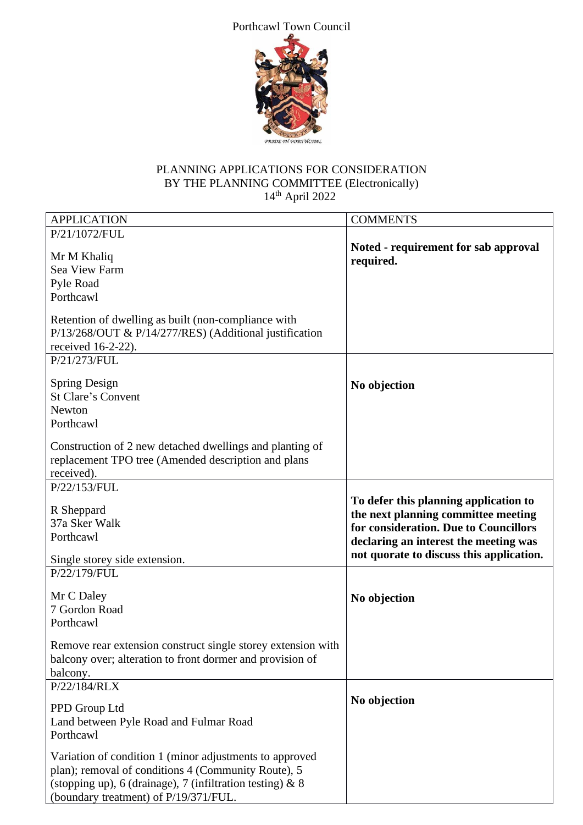Porthcawl Town Council



# PLANNING APPLICATIONS FOR CONSIDERATION BY THE PLANNING COMMITTEE (Electronically)  $14<sup>th</sup>$  April 2022

| <b>APPLICATION</b>                                                                                                                                                                                                                                                             | <b>COMMENTS</b>                                                                                                                                                                                            |
|--------------------------------------------------------------------------------------------------------------------------------------------------------------------------------------------------------------------------------------------------------------------------------|------------------------------------------------------------------------------------------------------------------------------------------------------------------------------------------------------------|
| P/21/1072/FUL                                                                                                                                                                                                                                                                  |                                                                                                                                                                                                            |
| Mr M Khaliq<br>Sea View Farm<br>Pyle Road<br>Porthcawl                                                                                                                                                                                                                         | Noted - requirement for sab approval<br>required.                                                                                                                                                          |
| Retention of dwelling as built (non-compliance with<br>P/13/268/OUT & P/14/277/RES) (Additional justification<br>received $16-2-22$ ).                                                                                                                                         |                                                                                                                                                                                                            |
| P/21/273/FUL<br>Spring Design<br><b>St Clare's Convent</b><br>Newton<br>Porthcawl<br>Construction of 2 new detached dwellings and planting of                                                                                                                                  | No objection                                                                                                                                                                                               |
| replacement TPO tree (Amended description and plans<br>received).                                                                                                                                                                                                              |                                                                                                                                                                                                            |
| P/22/153/FUL<br>R Sheppard<br>37a Sker Walk<br>Porthcawl<br>Single storey side extension.                                                                                                                                                                                      | To defer this planning application to<br>the next planning committee meeting<br>for consideration. Due to Councillors<br>declaring an interest the meeting was<br>not quorate to discuss this application. |
| P/22/179/FUL<br>Mr C Daley<br>7 Gordon Road<br>Porthcawl<br>Remove rear extension construct single storey extension with                                                                                                                                                       | No objection                                                                                                                                                                                               |
| balcony over; alteration to front dormer and provision of<br>balcony.<br>P/22/184/RLX<br>PPD Group Ltd                                                                                                                                                                         | No objection                                                                                                                                                                                               |
| Land between Pyle Road and Fulmar Road<br>Porthcawl<br>Variation of condition 1 (minor adjustments to approved<br>plan); removal of conditions 4 (Community Route), 5<br>(stopping up), 6 (drainage), 7 (infiltration testing) $\&$ 8<br>(boundary treatment) of P/19/371/FUL. |                                                                                                                                                                                                            |